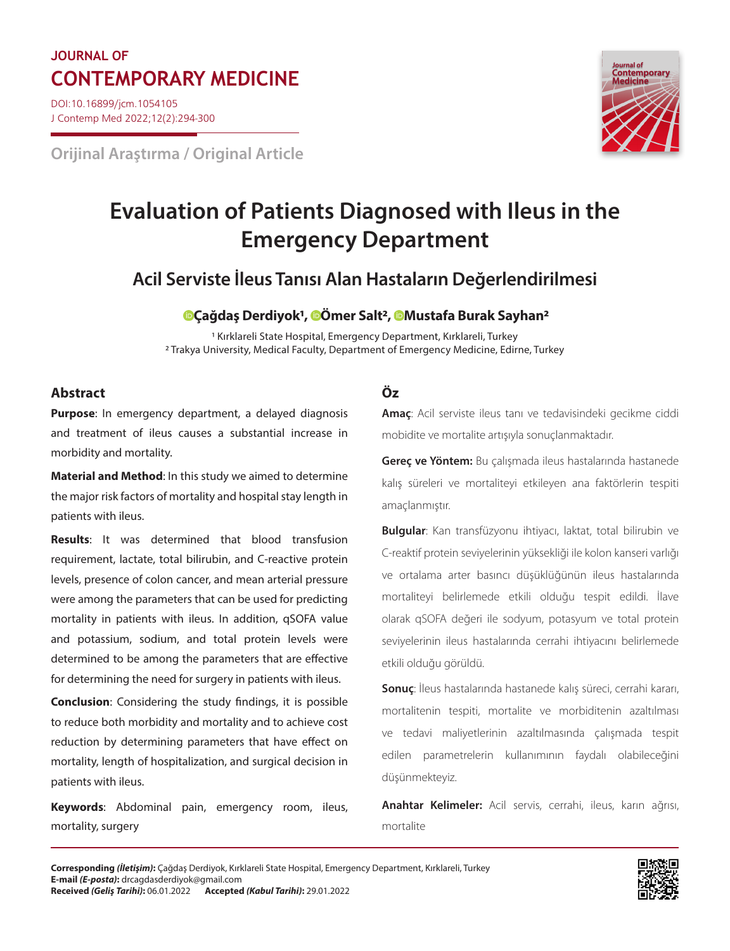## **JOURNAL OF CONTEMPORARY MEDICINE Journal of**

DOI:10.16899/jcm.1054105 J Contemp Med 2022;12(2):294-300

**Orijinal Araştırma / Original Article**



# **Evaluation of Patients Diagnosed with Ileus in the Emergency Department**

### **Acil Serviste İleus Tanısı Alan Hastaların Değerlendirilmesi**

### **[Ç](https://orcid.org/0000-0002-0651-4649)ağdaş Derdiyok1, [Ö](https://orcid.org/0000-0002-5557-6627)mer Salt2, [M](https://orcid.org/0000-0002-1156-5424)ustafa Burak Sayhan2**

1 Kırklareli State Hospital, Emergency Department, Kırklareli, Turkey 2 Trakya University, Medical Faculty, Department of Emergency Medicine, Edirne, Turkey

### **Abstract Öz**

**Purpose**: In emergency department, a delayed diagnosis and treatment of ileus causes a substantial increase in morbidity and mortality.

**Material and Method**: In this study we aimed to determine the major risk factors of mortality and hospital stay length in patients with ileus.

**Results**: It was determined that blood transfusion requirement, lactate, total bilirubin, and C-reactive protein levels, presence of colon cancer, and mean arterial pressure were among the parameters that can be used for predicting mortality in patients with ileus. In addition, qSOFA value and potassium, sodium, and total protein levels were determined to be among the parameters that are effective for determining the need for surgery in patients with ileus.

**Conclusion**: Considering the study findings, it is possible to reduce both morbidity and mortality and to achieve cost reduction by determining parameters that have effect on mortality, length of hospitalization, and surgical decision in patients with ileus.

**Keywords**: Abdominal pain, emergency room, ileus, mortality, surgery

**Amaç**: Acil serviste ileus tanı ve tedavisindeki gecikme ciddi mobidite ve mortalite artışıyla sonuçlanmaktadır.

**Gereç ve Yöntem:** Bu çalışmada ileus hastalarında hastanede kalış süreleri ve mortaliteyi etkileyen ana faktörlerin tespiti amaçlanmıştır.

**Bulgular**: Kan transfüzyonu ihtiyacı, laktat, total bilirubin ve C-reaktif protein seviyelerinin yüksekliği ile kolon kanseri varlığı ve ortalama arter basıncı düşüklüğünün ileus hastalarında mortaliteyi belirlemede etkili olduğu tespit edildi. İlave olarak qSOFA değeri ile sodyum, potasyum ve total protein seviyelerinin ileus hastalarında cerrahi ihtiyacını belirlemede etkili olduğu görüldü.

**Sonuç**: İleus hastalarında hastanede kalış süreci, cerrahi kararı, mortalitenin tespiti, mortalite ve morbiditenin azaltılması ve tedavi maliyetlerinin azaltılmasında çalışmada tespit edilen parametrelerin kullanımının faydalı olabileceğini düşünmekteyiz.

**Anahtar Kelimeler:** Acil servis, cerrahi, ileus, karın ağrısı, mortalite

**Corresponding** *(İletişim)***:** Çağdaş Derdiyok, Kırklareli State Hospital, Emergency Department, Kırklareli, Turkey **E-mail** *(E-posta)***:** drcagdasderdiyok@gmail.com **Received** *(Geliş Tarihi)***:** 06.01.2022 **Accepted** *(Kabul Tarihi)***:** 29.01.2022

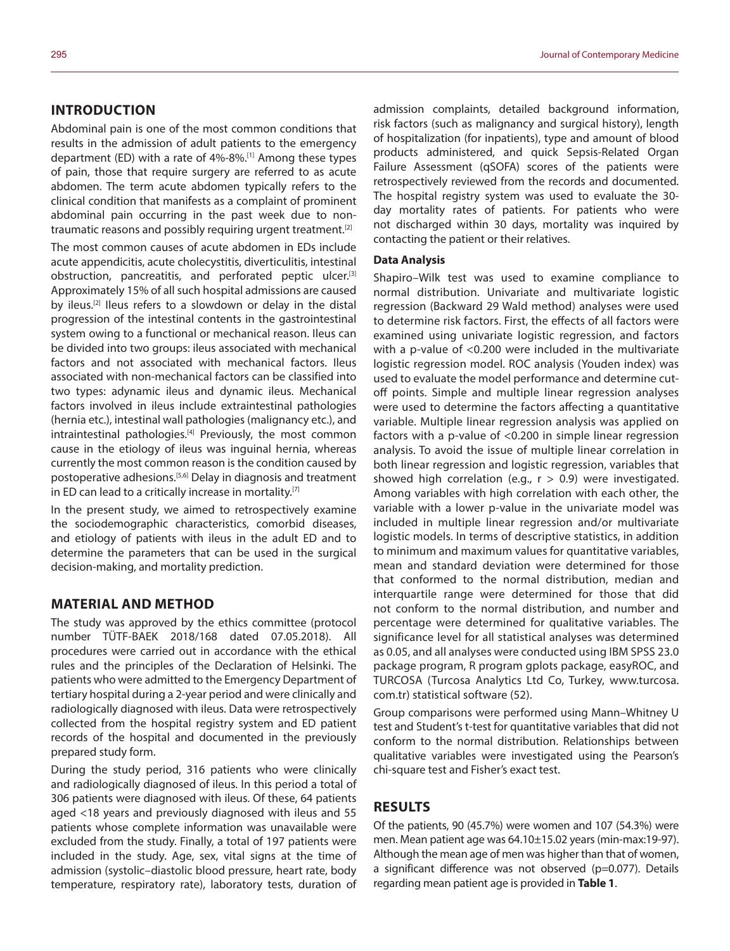### **INTRODUCTION**

Abdominal pain is one of the most common conditions that results in the admission of adult patients to the emergency department (ED) with a rate of 4%-8%.[1] Among these types of pain, those that require surgery are referred to as acute abdomen. The term acute abdomen typically refers to the clinical condition that manifests as a complaint of prominent abdominal pain occurring in the past week due to nontraumatic reasons and possibly requiring urgent treatment.<sup>[2]</sup>

The most common causes of acute abdomen in EDs include acute appendicitis, acute cholecystitis, diverticulitis, intestinal obstruction, pancreatitis, and perforated peptic ulcer.<sup>[3]</sup> Approximately 15% of all such hospital admissions are caused by ileus.<sup>[2]</sup> Ileus refers to a slowdown or delay in the distal progression of the intestinal contents in the gastrointestinal system owing to a functional or mechanical reason. Ileus can be divided into two groups: ileus associated with mechanical factors and not associated with mechanical factors. Ileus associated with non-mechanical factors can be classified into two types: adynamic ileus and dynamic ileus. Mechanical factors involved in ileus include extraintestinal pathologies (hernia etc.), intestinal wall pathologies (malignancy etc.), and intraintestinal pathologies.<sup>[4]</sup> Previously, the most common cause in the etiology of ileus was inguinal hernia, whereas currently the most common reason is the condition caused by postoperative adhesions.[5,6] Delay in diagnosis and treatment in ED can lead to a critically increase in mortality.<sup>[7]</sup>

In the present study, we aimed to retrospectively examine the sociodemographic characteristics, comorbid diseases, and etiology of patients with ileus in the adult ED and to determine the parameters that can be used in the surgical decision-making, and mortality prediction.

#### **MATERIAL AND METHOD**

The study was approved by the ethics committee (protocol number TÜTF-BAEK 2018/168 dated 07.05.2018). All procedures were carried out in accordance with the ethical rules and the principles of the Declaration of Helsinki. The patients who were admitted to the Emergency Department of tertiary hospital during a 2-year period and were clinically and radiologically diagnosed with ileus. Data were retrospectively collected from the hospital registry system and ED patient records of the hospital and documented in the previously prepared study form.

During the study period, 316 patients who were clinically and radiologically diagnosed of ileus. In this period a total of 306 patients were diagnosed with ileus. Of these, 64 patients aged <18 years and previously diagnosed with ileus and 55 patients whose complete information was unavailable were excluded from the study. Finally, a total of 197 patients were included in the study. Age, sex, vital signs at the time of admission (systolic–diastolic blood pressure, heart rate, body temperature, respiratory rate), laboratory tests, duration of admission complaints, detailed background information, risk factors (such as malignancy and surgical history), length of hospitalization (for inpatients), type and amount of blood products administered, and quick Sepsis-Related Organ Failure Assessment (qSOFA) scores of the patients were retrospectively reviewed from the records and documented. The hospital registry system was used to evaluate the 30 day mortality rates of patients. For patients who were not discharged within 30 days, mortality was inquired by contacting the patient or their relatives.

#### **Data Analysis**

Shapiro–Wilk test was used to examine compliance to normal distribution. Univariate and multivariate logistic regression (Backward 29 Wald method) analyses were used to determine risk factors. First, the effects of all factors were examined using univariate logistic regression, and factors with a p-value of <0.200 were included in the multivariate logistic regression model. ROC analysis (Youden index) was used to evaluate the model performance and determine cutoff points. Simple and multiple linear regression analyses were used to determine the factors affecting a quantitative variable. Multiple linear regression analysis was applied on factors with a p-value of <0.200 in simple linear regression analysis. To avoid the issue of multiple linear correlation in both linear regression and logistic regression, variables that showed high correlation (e.g.,  $r > 0.9$ ) were investigated. Among variables with high correlation with each other, the variable with a lower p-value in the univariate model was included in multiple linear regression and/or multivariate logistic models. In terms of descriptive statistics, in addition to minimum and maximum values for quantitative variables, mean and standard deviation were determined for those that conformed to the normal distribution, median and interquartile range were determined for those that did not conform to the normal distribution, and number and percentage were determined for qualitative variables. The significance level for all statistical analyses was determined as 0.05, and all analyses were conducted using IBM SPSS 23.0 package program, R program gplots package, easyROC, and TURCOSA (Turcosa Analytics Ltd Co, Turkey, www.turcosa. com.tr) statistical software (52).

Group comparisons were performed using Mann–Whitney U test and Student's t-test for quantitative variables that did not conform to the normal distribution. Relationships between qualitative variables were investigated using the Pearson's chi-square test and Fisher's exact test.

#### **RESULTS**

Of the patients, 90 (45.7%) were women and 107 (54.3%) were men. Mean patient age was 64.10±15.02 years (min-max:19-97). Although the mean age of men was higher than that of women, a significant difference was not observed (p=0.077). Details regarding mean patient age is provided in **Table 1**.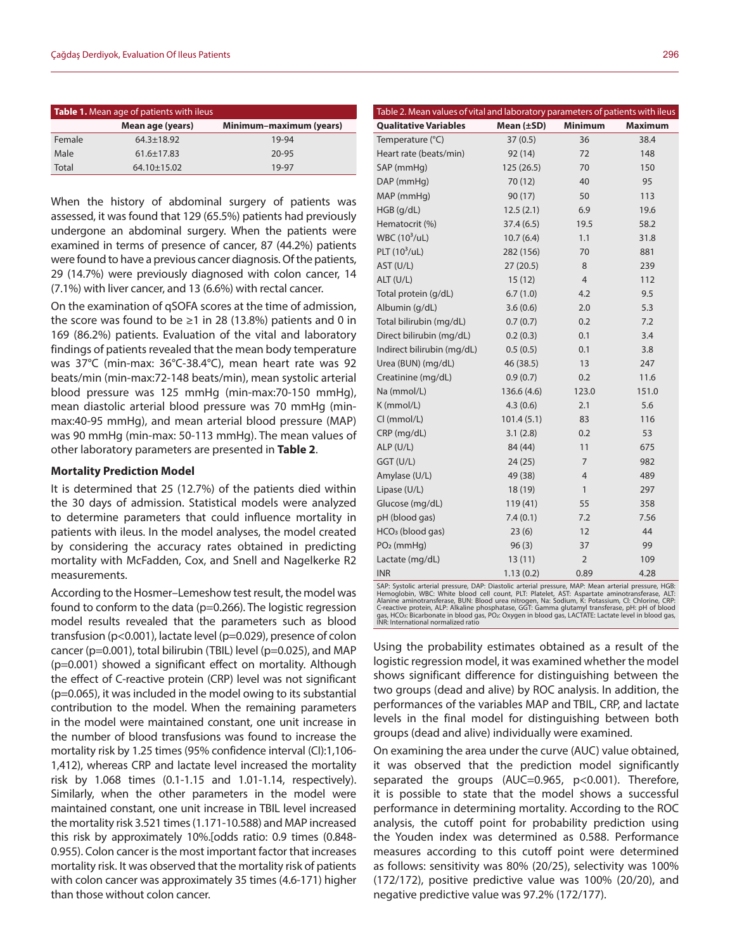| Table 1. Mean age of patients with ileus |                   |                         |  |  |  |
|------------------------------------------|-------------------|-------------------------|--|--|--|
|                                          | Mean age (years)  | Minimum-maximum (years) |  |  |  |
| Female                                   | $64.3 \pm 18.92$  | 19-94                   |  |  |  |
| Male                                     | $61.6 \pm 17.83$  | $20 - 95$               |  |  |  |
| Total                                    | $64.10 \pm 15.02$ | 19-97                   |  |  |  |

When the history of abdominal surgery of patients was assessed, it was found that 129 (65.5%) patients had previously undergone an abdominal surgery. When the patients were examined in terms of presence of cancer, 87 (44.2%) patients were found to have a previous cancer diagnosis. Of the patients, 29 (14.7%) were previously diagnosed with colon cancer, 14 (7.1%) with liver cancer, and 13 (6.6%) with rectal cancer.

On the examination of qSOFA scores at the time of admission, the score was found to be  $\geq$ 1 in 28 (13.8%) patients and 0 in 169 (86.2%) patients. Evaluation of the vital and laboratory findings of patients revealed that the mean body temperature was 37°C (min-max: 36°C-38.4°C), mean heart rate was 92 beats/min (min-max:72-148 beats/min), mean systolic arterial blood pressure was 125 mmHg (min-max:70-150 mmHg), mean diastolic arterial blood pressure was 70 mmHg (minmax:40-95 mmHg), and mean arterial blood pressure (MAP) was 90 mmHg (min-max: 50-113 mmHg). The mean values of other laboratory parameters are presented in **Table 2**.

#### **Mortality Prediction Model**

It is determined that 25 (12.7%) of the patients died within the 30 days of admission. Statistical models were analyzed to determine parameters that could influence mortality in patients with ileus. In the model analyses, the model created by considering the accuracy rates obtained in predicting mortality with McFadden, Cox, and Snell and Nagelkerke R2 measurements.

According to the Hosmer–Lemeshow test result, the model was found to conform to the data (p=0.266). The logistic regression model results revealed that the parameters such as blood transfusion (p<0.001), lactate level (p=0.029), presence of colon cancer (p=0.001), total bilirubin (TBIL) level (p=0.025), and MAP (p=0.001) showed a significant effect on mortality. Although the effect of C-reactive protein (CRP) level was not significant (p=0.065), it was included in the model owing to its substantial contribution to the model. When the remaining parameters in the model were maintained constant, one unit increase in the number of blood transfusions was found to increase the mortality risk by 1.25 times (95% confidence interval (CI):1,106- 1,412), whereas CRP and lactate level increased the mortality risk by 1.068 times (0.1-1.15 and 1.01-1.14, respectively). Similarly, when the other parameters in the model were maintained constant, one unit increase in TBIL level increased the mortality risk 3.521 times (1.171-10.588) and MAP increased this risk by approximately 10%.[odds ratio: 0.9 times (0.848- 0.955). Colon cancer is the most important factor that increases mortality risk. It was observed that the mortality risk of patients with colon cancer was approximately 35 times (4.6-171) higher than those without colon cancer.

| Table 2. Mean values of vital and laboratory parameters of patients with ileus |             |                |                |  |  |  |
|--------------------------------------------------------------------------------|-------------|----------------|----------------|--|--|--|
| <b>Qualitative Variables</b>                                                   | Mean (±SD)  | <b>Minimum</b> | <b>Maximum</b> |  |  |  |
| Temperature (°C)                                                               | 37(0.5)     | 36             | 38.4           |  |  |  |
| Heart rate (beats/min)                                                         | 92 (14)     | 72             | 148            |  |  |  |
| SAP (mmHq)                                                                     | 125(26.5)   | 70             | 150            |  |  |  |
| DAP (mmHg)                                                                     | 70 (12)     | 40             | 95             |  |  |  |
| MAP (mmHg)                                                                     | 90(17)      | 50             | 113            |  |  |  |
| $HGB$ (g/dL)                                                                   | 12.5(2.1)   | 6.9            | 19.6           |  |  |  |
| Hematocrit (%)                                                                 | 37.4(6.5)   | 19.5           | 58.2           |  |  |  |
| WBC (10 <sup>3</sup> /uL)                                                      | 10.7(6.4)   | 1.1            | 31.8           |  |  |  |
| PLT $(10^3/\text{uL})$                                                         | 282 (156)   | 70             | 881            |  |  |  |
| AST (U/L)                                                                      | 27(20.5)    | 8              | 239            |  |  |  |
| ALT (U/L)                                                                      | 15(12)      | $\overline{4}$ | 112            |  |  |  |
| Total protein (g/dL)                                                           | 6.7(1.0)    | 4.2            | 9.5            |  |  |  |
| Albumin (g/dL)                                                                 | 3.6(0.6)    | 2.0            | 5.3            |  |  |  |
| Total bilirubin (mg/dL)                                                        | 0.7(0.7)    | 0.2            | 7.2            |  |  |  |
| Direct bilirubin (mg/dL)                                                       | 0.2(0.3)    | 0.1            | 3.4            |  |  |  |
| Indirect bilirubin (mg/dL)                                                     | 0.5(0.5)    | 0.1            | 3.8            |  |  |  |
| Urea (BUN) (mg/dL)                                                             | 46 (38.5)   | 13             | 247            |  |  |  |
| Creatinine (mg/dL)                                                             | 0.9(0.7)    | 0.2            | 11.6           |  |  |  |
| Na (mmol/L)                                                                    | 136.6 (4.6) | 123.0          | 151.0          |  |  |  |
| K (mmol/L)                                                                     | 4.3(0.6)    | 2.1            | 5.6            |  |  |  |
| CI (mmol/L)                                                                    | 101.4(5.1)  | 83             | 116            |  |  |  |
| CRP (mg/dL)                                                                    | 3.1(2.8)    | 0.2            | 53             |  |  |  |
| ALP (U/L)                                                                      | 84 (44)     | 11             | 675            |  |  |  |
| GGT (U/L)                                                                      | 24(25)      | 7              | 982            |  |  |  |
| Amylase (U/L)                                                                  | 49 (38)     | $\overline{4}$ | 489            |  |  |  |
| Lipase (U/L)                                                                   | 18 (19)     | $\mathbf{1}$   | 297            |  |  |  |
| Glucose (mg/dL)                                                                | 119(41)     | 55             | 358            |  |  |  |
| pH (blood gas)                                                                 | 7.4(0.1)    | 7.2            | 7.56           |  |  |  |
| HCO <sub>3</sub> (blood gas)                                                   | 23(6)       | 12             | 44             |  |  |  |
| $PO2$ (mmHq)                                                                   | 96(3)       | 37             | 99             |  |  |  |
| Lactate (mg/dL)                                                                | 13(11)      | 2              | 109            |  |  |  |
| <b>INR</b>                                                                     | 1.13(0.2)   | 0.89           | 4.28           |  |  |  |

SAP: Systolic arterial pressure, DAP: Diastolic arterial pressure, MAP: Mean arterial pressure, HGB: Hemoglobin, WBC: White blood cell count, PLT: Platelet, AST: Aspartate aminotransferase, ALT: Alanine aminotransferase, BUN: Blood urea nitrogen, Na: Sodium, K: Potassium, Cl: Chlorine, CRP:<br>C-reactive protein, ALP: Alkaline phosphatase, GGT: Gamma glutamyl transferase, pH: pH of blood<br>gas, HCO:: Bicarbonate in blo gas, FICOS, DICO 2011-12<br>INR: International normalized ratio

Using the probability estimates obtained as a result of the logistic regression model, it was examined whether the model shows significant difference for distinguishing between the two groups (dead and alive) by ROC analysis. In addition, the performances of the variables MAP and TBIL, CRP, and lactate levels in the final model for distinguishing between both groups (dead and alive) individually were examined.

On examining the area under the curve (AUC) value obtained, it was observed that the prediction model significantly separated the groups (AUC=0.965, p<0.001). Therefore, it is possible to state that the model shows a successful performance in determining mortality. According to the ROC analysis, the cutoff point for probability prediction using the Youden index was determined as 0.588. Performance measures according to this cutoff point were determined as follows: sensitivity was 80% (20/25), selectivity was 100% (172/172), positive predictive value was 100% (20/20), and negative predictive value was 97.2% (172/177).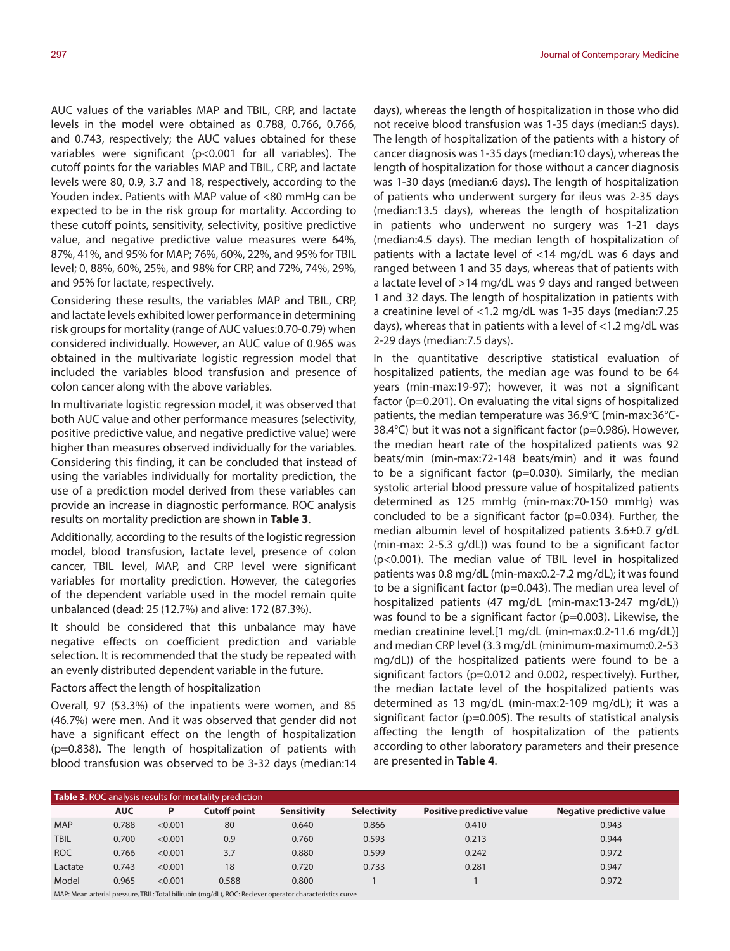AUC values of the variables MAP and TBIL, CRP, and lactate levels in the model were obtained as 0.788, 0.766, 0.766, and 0.743, respectively; the AUC values obtained for these variables were significant (p<0.001 for all variables). The cutoff points for the variables MAP and TBIL, CRP, and lactate levels were 80, 0.9, 3.7 and 18, respectively, according to the Youden index. Patients with MAP value of <80 mmHg can be expected to be in the risk group for mortality. According to these cutoff points, sensitivity, selectivity, positive predictive value, and negative predictive value measures were 64%, 87%, 41%, and 95% for MAP; 76%, 60%, 22%, and 95% for TBIL level; 0, 88%, 60%, 25%, and 98% for CRP, and 72%, 74%, 29%, and 95% for lactate, respectively.

Considering these results, the variables MAP and TBIL, CRP, and lactate levels exhibited lower performance in determining risk groups for mortality (range of AUC values:0.70-0.79) when considered individually. However, an AUC value of 0.965 was obtained in the multivariate logistic regression model that included the variables blood transfusion and presence of colon cancer along with the above variables.

In multivariate logistic regression model, it was observed that both AUC value and other performance measures (selectivity, positive predictive value, and negative predictive value) were higher than measures observed individually for the variables. Considering this finding, it can be concluded that instead of using the variables individually for mortality prediction, the use of a prediction model derived from these variables can provide an increase in diagnostic performance. ROC analysis results on mortality prediction are shown in **Table 3**.

Additionally, according to the results of the logistic regression model, blood transfusion, lactate level, presence of colon cancer, TBIL level, MAP, and CRP level were significant variables for mortality prediction. However, the categories of the dependent variable used in the model remain quite unbalanced (dead: 25 (12.7%) and alive: 172 (87.3%).

It should be considered that this unbalance may have negative effects on coefficient prediction and variable selection. It is recommended that the study be repeated with an evenly distributed dependent variable in the future.

#### Factors affect the length of hospitalization

Overall, 97 (53.3%) of the inpatients were women, and 85 (46.7%) were men. And it was observed that gender did not have a significant effect on the length of hospitalization (p=0.838). The length of hospitalization of patients with blood transfusion was observed to be 3-32 days (median:14

days), whereas the length of hospitalization in those who did not receive blood transfusion was 1-35 days (median:5 days). The length of hospitalization of the patients with a history of cancer diagnosis was 1-35 days (median:10 days), whereas the length of hospitalization for those without a cancer diagnosis was 1-30 days (median:6 days). The length of hospitalization of patients who underwent surgery for ileus was 2-35 days (median:13.5 days), whereas the length of hospitalization in patients who underwent no surgery was 1-21 days (median:4.5 days). The median length of hospitalization of patients with a lactate level of <14 mg/dL was 6 days and ranged between 1 and 35 days, whereas that of patients with a lactate level of >14 mg/dL was 9 days and ranged between 1 and 32 days. The length of hospitalization in patients with a creatinine level of <1.2 mg/dL was 1-35 days (median:7.25 days), whereas that in patients with a level of <1.2 mg/dL was 2-29 days (median:7.5 days).

In the quantitative descriptive statistical evaluation of hospitalized patients, the median age was found to be 64 years (min-max:19-97); however, it was not a significant factor (p=0.201). On evaluating the vital signs of hospitalized patients, the median temperature was 36.9°C (min-max:36°C-38.4°C) but it was not a significant factor (p=0.986). However, the median heart rate of the hospitalized patients was 92 beats/min (min-max:72-148 beats/min) and it was found to be a significant factor (p=0.030). Similarly, the median systolic arterial blood pressure value of hospitalized patients determined as 125 mmHg (min-max:70-150 mmHg) was concluded to be a significant factor (p=0.034). Further, the median albumin level of hospitalized patients 3.6±0.7 g/dL (min-max: 2-5.3 g/dL)) was found to be a significant factor (p<0.001). The median value of TBIL level in hospitalized patients was 0.8 mg/dL (min-max:0.2-7.2 mg/dL); it was found to be a significant factor (p=0.043). The median urea level of hospitalized patients (47 mg/dL (min-max:13-247 mg/dL)) was found to be a significant factor (p=0.003). Likewise, the median creatinine level.[1 mg/dL (min-max:0.2-11.6 mg/dL)] and median CRP level (3.3 mg/dL (minimum-maximum:0.2-53 mg/dL)) of the hospitalized patients were found to be a significant factors (p=0.012 and 0.002, respectively). Further, the median lactate level of the hospitalized patients was determined as 13 mg/dL (min-max:2-109 mg/dL); it was a significant factor (p=0.005). The results of statistical analysis affecting the length of hospitalization of the patients according to other laboratory parameters and their presence are presented in **Table 4**.

| <b>Table 3.</b> ROC analysis results for mortality prediction                                            |            |         |              |                    |                    |                           |                           |  |
|----------------------------------------------------------------------------------------------------------|------------|---------|--------------|--------------------|--------------------|---------------------------|---------------------------|--|
|                                                                                                          | <b>AUC</b> | Ρ       | Cutoff point | <b>Sensitivity</b> | <b>Selectivity</b> | Positive predictive value | Negative predictive value |  |
| <b>MAP</b>                                                                                               | 0.788      | < 0.001 | 80           | 0.640              | 0.866              | 0.410                     | 0.943                     |  |
| <b>TBIL</b>                                                                                              | 0.700      | < 0.001 | 0.9          | 0.760              | 0.593              | 0.213                     | 0.944                     |  |
| <b>ROC</b>                                                                                               | 0.766      | < 0.001 | 3.7          | 0.880              | 0.599              | 0.242                     | 0.972                     |  |
| Lactate                                                                                                  | 0.743      | < 0.001 | 18           | 0.720              | 0.733              | 0.281                     | 0.947                     |  |
| Model                                                                                                    | 0.965      | < 0.001 | 0.588        | 0.800              |                    |                           | 0.972                     |  |
| MAP: Mean arterial pressure, TBIL: Total bilirubin (mq/dL), ROC: Reciever operator characteristics curve |            |         |              |                    |                    |                           |                           |  |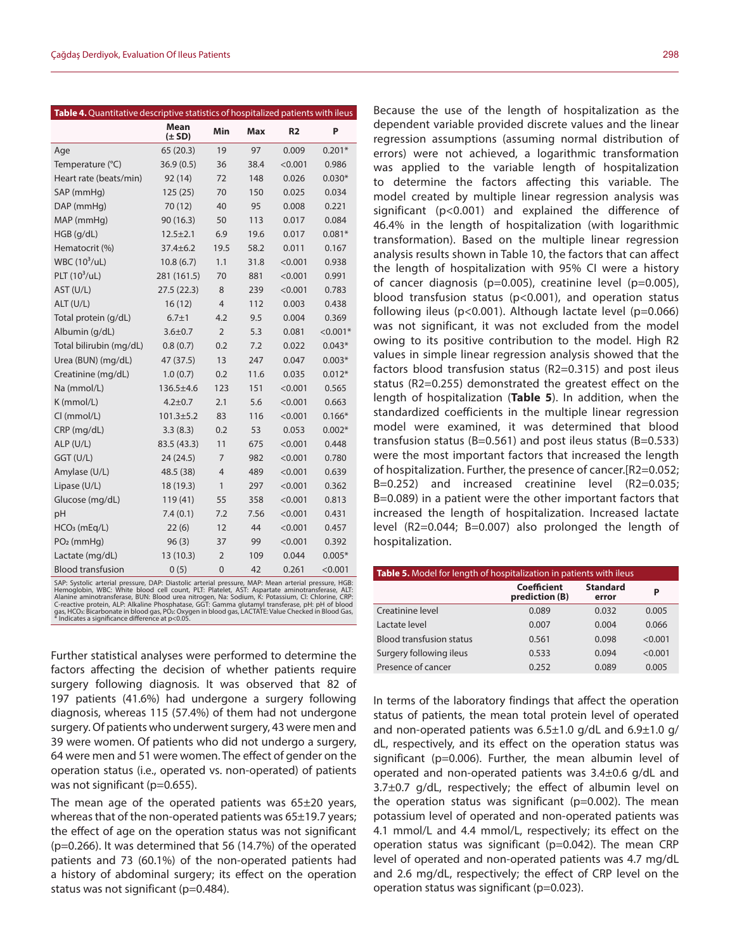| Table 4. Quantitative descriptive statistics of hospitalized patients with ileus |                    |                |            |                |            |
|----------------------------------------------------------------------------------|--------------------|----------------|------------|----------------|------------|
|                                                                                  | Mean<br>$(\pm SD)$ | Min            | <b>Max</b> | R <sub>2</sub> | P          |
| Age                                                                              | 65(20.3)           | 19             | 97         | 0.009          | $0.201*$   |
| Temperature (°C)                                                                 | 36.9(0.5)          | 36             | 38.4       | < 0.001        | 0.986      |
| Heart rate (beats/min)                                                           | 92 (14)            | 72             | 148        | 0.026          | $0.030*$   |
| SAP (mmHq)                                                                       | 125(25)            | 70             | 150        | 0.025          | 0.034      |
| DAP (mmHg)                                                                       | 70 (12)            | 40             | 95         | 0.008          | 0.221      |
| MAP (mmHg)                                                                       | 90 (16.3)          | 50             | 113        | 0.017          | 0.084      |
| $HGB$ (g/dL)                                                                     | $12.5 \pm 2.1$     | 6.9            | 19.6       | 0.017          | $0.081*$   |
| Hematocrit (%)                                                                   | 37.4±6.2           | 19.5           | 58.2       | 0.011          | 0.167      |
| WBC $(10^3/\text{uL})$                                                           | 10.8(6.7)          | 1.1            | 31.8       | < 0.001        | 0.938      |
| PLT $(10^3/\text{uL})$                                                           | 281 (161.5)        | 70             | 881        | < 0.001        | 0.991      |
| AST (U/L)                                                                        | 27.5(22.3)         | 8              | 239        | < 0.001        | 0.783      |
| ALT (U/L)                                                                        | 16(12)             | $\overline{4}$ | 112        | 0.003          | 0.438      |
| Total protein (g/dL)                                                             | $6.7 + 1$          | 4.2            | 9.5        | 0.004          | 0.369      |
| Albumin (g/dL)                                                                   | $3.6 \pm 0.7$      | $\overline{2}$ | 5.3        | 0.081          | $< 0.001*$ |
| Total bilirubin (mg/dL)                                                          | 0.8(0.7)           | 0.2            | 7.2        | 0.022          | $0.043*$   |
| Urea (BUN) (mg/dL)                                                               | 47 (37.5)          | 13             | 247        | 0.047          | $0.003*$   |
| Creatinine (mg/dL)                                                               | 1.0(0.7)           | 0.2            | 11.6       | 0.035          | $0.012*$   |
| Na (mmol/L)                                                                      | 136.5±4.6          | 123            | 151        | < 0.001        | 0.565      |
| K (mmol/L)                                                                       | $4.2 + 0.7$        | 2.1            | 5.6        | < 0.001        | 0.663      |
| CI (mmol/L)                                                                      | $101.3 \pm 5.2$    | 83             | 116        | < 0.001        | $0.166*$   |
| CRP (mg/dL)                                                                      | 3.3(8.3)           | 0.2            | 53         | 0.053          | $0.002*$   |
| ALP (U/L)                                                                        | 83.5 (43.3)        | 11             | 675        | < 0.001        | 0.448      |
| GGT (U/L)                                                                        | 24(24.5)           | 7              | 982        | < 0.001        | 0.780      |
| Amylase (U/L)                                                                    | 48.5 (38)          | $\overline{4}$ | 489        | < 0.001        | 0.639      |
| Lipase (U/L)                                                                     | 18 (19.3)          | 1              | 297        | < 0.001        | 0.362      |
| Glucose (mg/dL)                                                                  | 119(41)            | 55             | 358        | < 0.001        | 0.813      |
| pH                                                                               | 7.4(0.1)           | 7.2            | 7.56       | < 0.001        | 0.431      |
| $HCO3$ (mEq/L)                                                                   | 22(6)              | 12             | 44         | < 0.001        | 0.457      |
| $PO2$ (mmHq)                                                                     | 96(3)              | 37             | 99         | < 0.001        | 0.392      |
| Lactate (mg/dL)                                                                  | 13 (10.3)          | $\overline{2}$ | 109        | 0.044          | $0.005*$   |
| <b>Blood transfusion</b>                                                         | 0(5)               | $\overline{0}$ | 42         | 0.261          | < 0.001    |

SAP: Systolic arterial pressure, DAP: Diastolic arterial pressure, MAP: Mean arterial pressure, HGB:<br>Hemoglobin, WBC: White blood cell count, PLT: Platelet, AST: Aspartate aminotransferase, ALT:<br>Alanine aminotransferase, B

Further statistical analyses were performed to determine the factors affecting the decision of whether patients require surgery following diagnosis. It was observed that 82 of 197 patients (41.6%) had undergone a surgery following diagnosis, whereas 115 (57.4%) of them had not undergone surgery. Of patients who underwent surgery, 43 were men and 39 were women. Of patients who did not undergo a surgery, 64 were men and 51 were women. The effect of gender on the operation status (i.e., operated vs. non-operated) of patients was not significant (p=0.655).

The mean age of the operated patients was 65±20 years, whereas that of the non-operated patients was 65±19.7 years; the effect of age on the operation status was not significant (p=0.266). It was determined that 56 (14.7%) of the operated patients and 73 (60.1%) of the non-operated patients had a history of abdominal surgery; its effect on the operation status was not significant (p=0.484).

Because the use of the length of hospitalization as the dependent variable provided discrete values and the linear regression assumptions (assuming normal distribution of errors) were not achieved, a logarithmic transformation was applied to the variable length of hospitalization to determine the factors affecting this variable. The model created by multiple linear regression analysis was significant (p<0.001) and explained the difference of 46.4% in the length of hospitalization (with logarithmic transformation). Based on the multiple linear regression analysis results shown in Table 10, the factors that can affect the length of hospitalization with 95% CI were a history of cancer diagnosis (p=0.005), creatinine level (p=0.005), blood transfusion status (p<0.001), and operation status following ileus (p<0.001). Although lactate level (p=0.066) was not significant, it was not excluded from the model owing to its positive contribution to the model. High R2 values in simple linear regression analysis showed that the factors blood transfusion status (R2=0.315) and post ileus status (R2=0.255) demonstrated the greatest effect on the length of hospitalization (**Table 5**). In addition, when the standardized coefficients in the multiple linear regression model were examined, it was determined that blood transfusion status (B=0.561) and post ileus status (B=0.533) were the most important factors that increased the length of hospitalization. Further, the presence of cancer.[R2=0.052; B=0.252) and increased creatinine level (R2=0.035; B=0.089) in a patient were the other important factors that increased the length of hospitalization. Increased lactate level (R2=0.044; B=0.007) also prolonged the length of hospitalization.

| <b>Table 5.</b> Model for length of hospitalization in patients with ileus |                               |                          |         |  |  |  |
|----------------------------------------------------------------------------|-------------------------------|--------------------------|---------|--|--|--|
|                                                                            | Coefficient<br>prediction (B) | <b>Standard</b><br>error | P       |  |  |  |
| Creatinine level                                                           | 0.089                         | 0.032                    | 0.005   |  |  |  |
| Lactate level                                                              | 0.007                         | 0.004                    | 0.066   |  |  |  |
| <b>Blood transfusion status</b>                                            | 0.561                         | 0.098                    | < 0.001 |  |  |  |
| Surgery following ileus                                                    | 0.533                         | 0.094                    | < 0.001 |  |  |  |
| Presence of cancer                                                         | 0.252                         | 0.089                    | 0.005   |  |  |  |

In terms of the laboratory findings that affect the operation status of patients, the mean total protein level of operated and non-operated patients was 6.5±1.0 g/dL and 6.9±1.0 g/ dL, respectively, and its effect on the operation status was significant (p=0.006). Further, the mean albumin level of operated and non-operated patients was 3.4±0.6 g/dL and 3.7±0.7 g/dL, respectively; the effect of albumin level on the operation status was significant ( $p=0.002$ ). The mean potassium level of operated and non-operated patients was 4.1 mmol/L and 4.4 mmol/L, respectively; its effect on the operation status was significant (p=0.042). The mean CRP level of operated and non-operated patients was 4.7 mg/dL and 2.6 mg/dL, respectively; the effect of CRP level on the operation status was significant (p=0.023).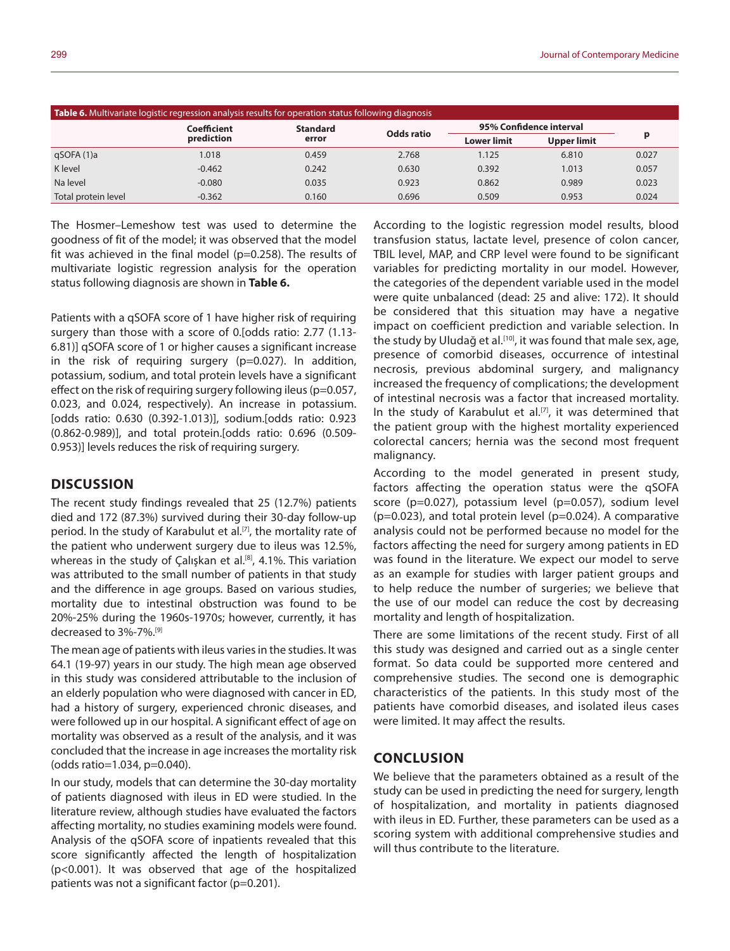| Table 6. Multivariate logistic regression analysis results for operation status following diagnosis |                           |                          |            |                         |                    |       |  |
|-----------------------------------------------------------------------------------------------------|---------------------------|--------------------------|------------|-------------------------|--------------------|-------|--|
|                                                                                                     | Coefficient<br>prediction | <b>Standard</b><br>error | Odds ratio | 95% Confidence interval |                    |       |  |
|                                                                                                     |                           |                          |            | <b>Lower limit</b>      | <b>Upper limit</b> |       |  |
| qSOFA (1)a                                                                                          | 1.018                     | 0.459                    | 2.768      | 1.125                   | 6.810              | 0.027 |  |
| K level                                                                                             | $-0.462$                  | 0.242                    | 0.630      | 0.392                   | 1.013              | 0.057 |  |
| Na level                                                                                            | $-0.080$                  | 0.035                    | 0.923      | 0.862                   | 0.989              | 0.023 |  |
| Total protein level                                                                                 | $-0.362$                  | 0.160                    | 0.696      | 0.509                   | 0.953              | 0.024 |  |

The Hosmer–Lemeshow test was used to determine the goodness of fit of the model; it was observed that the model fit was achieved in the final model (p=0.258). The results of multivariate logistic regression analysis for the operation status following diagnosis are shown in **Table 6.**

Patients with a qSOFA score of 1 have higher risk of requiring surgery than those with a score of 0.[odds ratio: 2.77 (1.13- 6.81)] qSOFA score of 1 or higher causes a significant increase in the risk of requiring surgery (p=0.027). In addition, potassium, sodium, and total protein levels have a significant effect on the risk of requiring surgery following ileus (p=0.057, 0.023, and 0.024, respectively). An increase in potassium. [odds ratio: 0.630 (0.392-1.013)], sodium.[odds ratio: 0.923 (0.862-0.989)], and total protein.[odds ratio: 0.696 (0.509- 0.953)] levels reduces the risk of requiring surgery.

#### **DISCUSSION**

The recent study findings revealed that 25 (12.7%) patients died and 172 (87.3%) survived during their 30-day follow-up period. In the study of Karabulut et al.<sup>[7]</sup>, the mortality rate of the patient who underwent surgery due to ileus was 12.5%, whereas in the study of Çalışkan et al.<sup>[8]</sup>, 4.1%. This variation was attributed to the small number of patients in that study and the difference in age groups. Based on various studies, mortality due to intestinal obstruction was found to be 20%-25% during the 1960s-1970s; however, currently, it has decreased to 3%-7%.[9]

The mean age of patients with ileus varies in the studies. It was 64.1 (19-97) years in our study. The high mean age observed in this study was considered attributable to the inclusion of an elderly population who were diagnosed with cancer in ED, had a history of surgery, experienced chronic diseases, and were followed up in our hospital. A significant effect of age on mortality was observed as a result of the analysis, and it was concluded that the increase in age increases the mortality risk (odds ratio=1.034, p=0.040).

In our study, models that can determine the 30-day mortality of patients diagnosed with ileus in ED were studied. In the literature review, although studies have evaluated the factors affecting mortality, no studies examining models were found. Analysis of the qSOFA score of inpatients revealed that this score significantly affected the length of hospitalization (p<0.001). It was observed that age of the hospitalized patients was not a significant factor (p=0.201).

According to the logistic regression model results, blood transfusion status, lactate level, presence of colon cancer, TBIL level, MAP, and CRP level were found to be significant variables for predicting mortality in our model. However, the categories of the dependent variable used in the model were quite unbalanced (dead: 25 and alive: 172). It should be considered that this situation may have a negative impact on coefficient prediction and variable selection. In the study by Uludağ et al.<sup>[10]</sup>, it was found that male sex, age, presence of comorbid diseases, occurrence of intestinal necrosis, previous abdominal surgery, and malignancy increased the frequency of complications; the development of intestinal necrosis was a factor that increased mortality. In the study of Karabulut et al.<sup>[7]</sup>, it was determined that the patient group with the highest mortality experienced colorectal cancers; hernia was the second most frequent malignancy.

According to the model generated in present study, factors affecting the operation status were the qSOFA score (p=0.027), potassium level (p=0.057), sodium level  $(p=0.023)$ , and total protein level  $(p=0.024)$ . A comparative analysis could not be performed because no model for the factors affecting the need for surgery among patients in ED was found in the literature. We expect our model to serve as an example for studies with larger patient groups and to help reduce the number of surgeries; we believe that the use of our model can reduce the cost by decreasing mortality and length of hospitalization.

There are some limitations of the recent study. First of all this study was designed and carried out as a single center format. So data could be supported more centered and comprehensive studies. The second one is demographic characteristics of the patients. In this study most of the patients have comorbid diseases, and isolated ileus cases were limited. It may affect the results.

### **CONCLUSION**

We believe that the parameters obtained as a result of the study can be used in predicting the need for surgery, length of hospitalization, and mortality in patients diagnosed with ileus in ED. Further, these parameters can be used as a scoring system with additional comprehensive studies and will thus contribute to the literature.